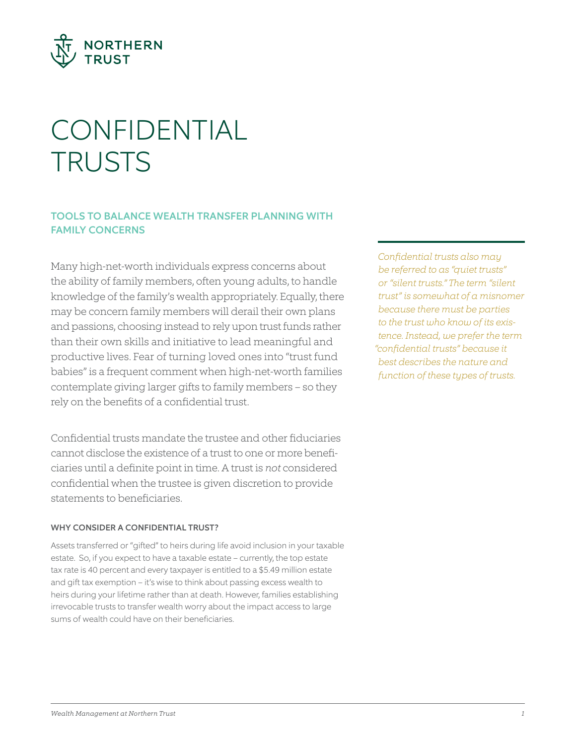

# CONFIDENTIAL **TRUSTS**

### TOOLS TO BALANCE WEALTH TRANSFER PLANNING WITH FAMILY CONCERNS

Many high-net-worth individuals express concerns about the ability of family members, often young adults, to handle knowledge of the family's wealth appropriately. Equally, there may be concern family members will derail their own plans and passions, choosing instead to rely upon trust funds rather than their own skills and initiative to lead meaningful and productive lives. Fear of turning loved ones into "trust fund babies" is a frequent comment when high-net-worth families contemplate giving larger gifts to family members – so they rely on the benefits of a confidential trust.

Confidential trusts mandate the trustee and other fiduciaries cannot disclose the existence of a trust to one or more beneficiaries until a definite point in time. A trust is *not* considered confidential when the trustee is given discretion to provide statements to beneficiaries.

#### WHY CONSIDER A CONFIDENTIAL TRUST?

Assets transferred or "gifted" to heirs during life avoid inclusion in your taxable estate. So, if you expect to have a taxable estate – currently, the top estate tax rate is 40 percent and every taxpayer is entitled to a \$5.49 million estate and gift tax exemption – it's wise to think about passing excess wealth to heirs during your lifetime rather than at death. However, families establishing irrevocable trusts to transfer wealth worry about the impact access to large sums of wealth could have on their beneficiaries.

*Confidential trusts also may be referred to as "quiet trusts" or "silent trusts." The term "silent trust" is somewhat of a misnomer because there must be parties to the trust who know of its existence. Instead, we prefer the term "confidential trusts" because it best describes the nature and function of these types of trusts.*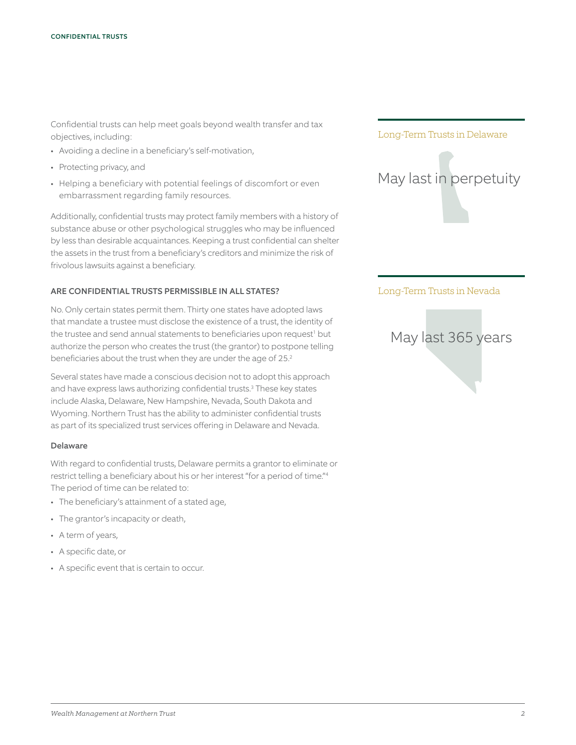Confidential trusts can help meet goals beyond wealth transfer and tax objectives, including:

- Avoiding a decline in a beneficiary's self-motivation,
- Protecting privacy, and
- Helping a beneficiary with potential feelings of discomfort or even embarrassment regarding family resources.

Additionally, confidential trusts may protect family members with a history of substance abuse or other psychological struggles who may be influenced by less than desirable acquaintances. Keeping a trust confidential can shelter the assets in the trust from a beneficiary's creditors and minimize the risk of frivolous lawsuits against a beneficiary.

#### ARE CONFIDENTIAL TRUSTS PERMISSIBLE IN ALL STATES?

No. Only certain states permit them. Thirty one states have adopted laws that mandate a trustee must disclose the existence of a trust, the identity of the trustee and send annual statements to beneficiaries upon request<sup>1</sup> but authorize the person who creates the trust (the grantor) to postpone telling beneficiaries about the trust when they are under the age of 25.2

Several states have made a conscious decision not to adopt this approach and have express laws authorizing confidential trusts.<sup>3</sup> These key states include Alaska, Delaware, New Hampshire, Nevada, South Dakota and Wyoming. Northern Trust has the ability to administer confidential trusts as part of its specialized trust services offering in Delaware and Nevada.

#### Delaware

With regard to confidential trusts, Delaware permits a grantor to eliminate or restrict telling a beneficiary about his or her interest "for a period of time."4 The period of time can be related to:

- The beneficiary's attainment of a stated age,
- The grantor's incapacity or death,
- A term of years,
- A specific date, or
- A specific event that is certain to occur.



#### Long-Term Trusts in Nevada

## May last 365 years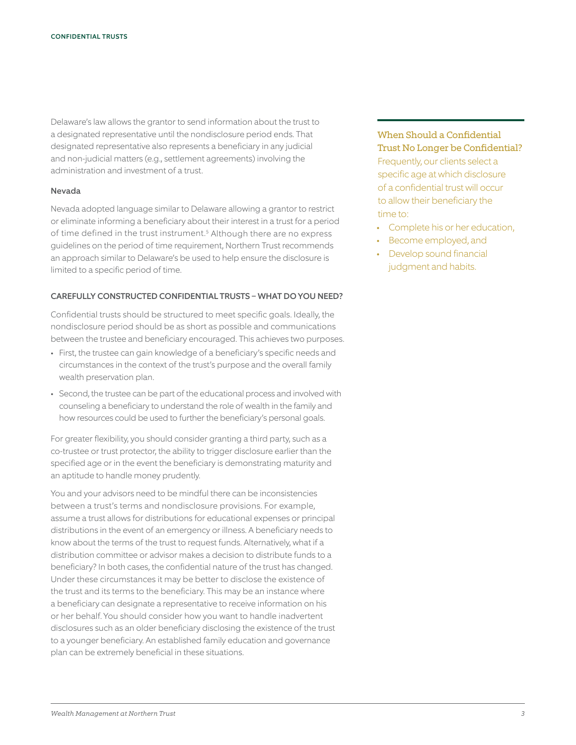Delaware's law allows the grantor to send information about the trust to a designated representative until the nondisclosure period ends. That designated representative also represents a beneficiary in any judicial and non-judicial matters (e.g., settlement agreements) involving the administration and investment of a trust.

#### Nevada

Nevada adopted language similar to Delaware allowing a grantor to restrict or eliminate informing a beneficiary about their interest in a trust for a period of time defined in the trust instrument.<sup>5</sup> Although there are no express guidelines on the period of time requirement, Northern Trust recommends an approach similar to Delaware's be used to help ensure the disclosure is limited to a specific period of time.

#### CAREFULLY CONSTRUCTED CONFIDENTIAL TRUSTS – WHAT DO YOU NEED?

Confidential trusts should be structured to meet specific goals. Ideally, the nondisclosure period should be as short as possible and communications between the trustee and beneficiary encouraged. This achieves two purposes.

- First, the trustee can gain knowledge of a beneficiary's specific needs and circumstances in the context of the trust's purpose and the overall family wealth preservation plan.
- Second, the trustee can be part of the educational process and involved with counseling a beneficiary to understand the role of wealth in the family and how resources could be used to further the beneficiary's personal goals.

For greater flexibility, you should consider granting a third party, such as a co-trustee or trust protector, the ability to trigger disclosure earlier than the specified age or in the event the beneficiary is demonstrating maturity and an aptitude to handle money prudently.

You and your advisors need to be mindful there can be inconsistencies between a trust's terms and nondisclosure provisions. For example, assume a trust allows for distributions for educational expenses or principal distributions in the event of an emergency or illness. A beneficiary needs to know about the terms of the trust to request funds. Alternatively, what if a distribution committee or advisor makes a decision to distribute funds to a beneficiary? In both cases, the confidential nature of the trust has changed. Under these circumstances it may be better to disclose the existence of the trust and its terms to the beneficiary. This may be an instance where a beneficiary can designate a representative to receive information on his or her behalf. You should consider how you want to handle inadvertent disclosures such as an older beneficiary disclosing the existence of the trust to a younger beneficiary. An established family education and governance plan can be extremely beneficial in these situations.

When Should a Confidential Trust No Longer be Confidential? Frequently, our clients select a specific age at which disclosure of a confidential trust will occur to allow their beneficiary the time to:

- Complete his or her education,
- Become employed, and
- Develop sound financial judgment and habits.